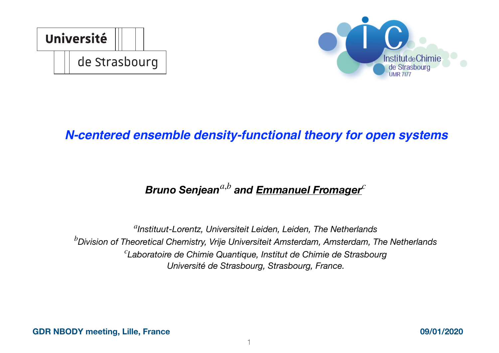



### *N-centered ensemble density-functional theory for open systems*

## *Bruno Senjean<sup>a,b</sup> and Emmanuel Fromager*<sup> $c$ </sup>

*Instituut-Lorentz, Universiteit Leiden, Leiden, The Netherlands a Division of Theoretical Chemistry, Vrije Universiteit Amsterdam, Amsterdam, The Netherlands b Laboratoire de Chimie Quantique, Institut de Chimie de Strasbourg c Université de Strasbourg, Strasbourg, France.*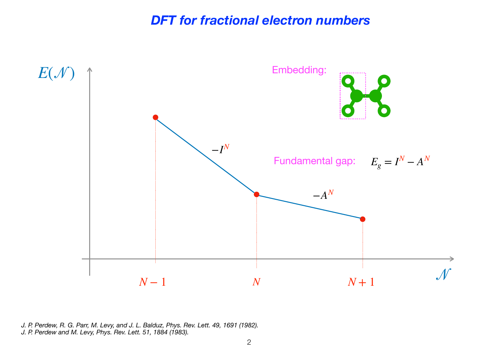#### *DFT for fractional electron numbers*



*J. P. Perdew, R. G. Parr, M. Levy, and J. L. Balduz, Phys. Rev. Lett. 49, 1691 (1982). J. P. Perdew and M. Levy, Phys. Rev. Lett. 51, 1884 (1983).*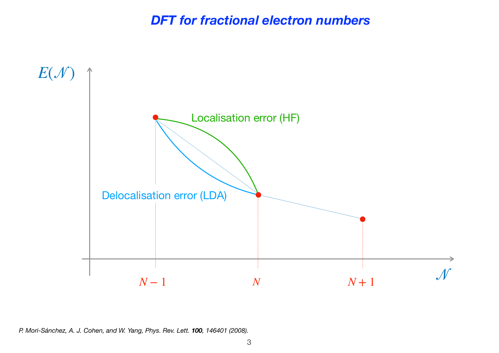*DFT for fractional electron numbers*



*P. Mori-Sánchez, A. J. Cohen, and W. Yang, Phys. Rev. Lett. 100, 146401 (2008).*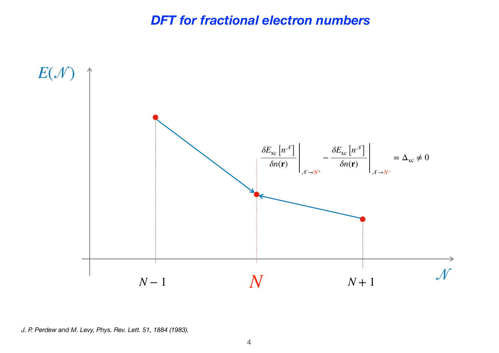#### *DFT for fractional electron numbers*



*J. P. Perdew and M. Levy, Phys. Rev. Lett. 51, 1884 (1983).*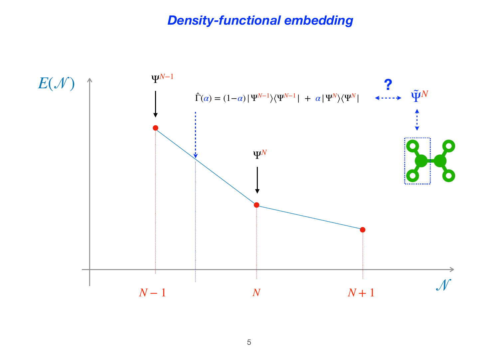## *Density-functional embedding*

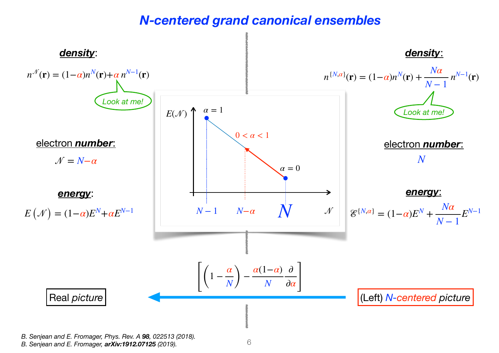#### *N-centered grand canonical ensembles*



<sup>6</sup> *B. Senjean and E. Fromager, Phys. Rev. A 98, 022513 (2018). B. Senjean and E. Fromager, arXiv:1912.07125 (2019).*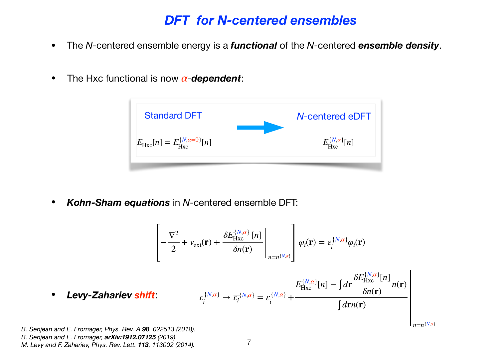#### *DFT for N-centered ensembles*

- The *N*-centered ensemble energy is a *functional* of the *N*-centered *ensemble density*.
- The Hxc functional is now  $\alpha$ -**dependent**:



• *Kohn-Sham equations* in *N*-centered ensemble DFT:

$$
\left[-\frac{\nabla^2}{2} + v_{\text{ext}}(\mathbf{r}) + \frac{\delta E_{\text{Hxc}}^{\{N,\alpha\}}[n]}{\delta n(\mathbf{r})}\right]_{n=n^{\{N,\alpha\}}}\rho_i(\mathbf{r}) = \varepsilon_i^{\{N,\alpha\}}\varphi_i(\mathbf{r})
$$

$$
\varepsilon_i^{\{N,\alpha\}} \to \overline{\varepsilon}_i^{\{N,\alpha\}} = \varepsilon_i^{\{N,\alpha\}} + \frac{E_{\text{Hxc}}^{\{N,\alpha\}}[n] - \int d\mathbf{r} \frac{\delta E_{\text{Hxc}}^{\{N,\alpha\}}[n]}{\delta n(\mathbf{r})} n(\mathbf{r})}
$$

 $n=n^{N,\alpha}$ 

*B. Senjean and E. Fromager, Phys. Rev. A 98, 022513 (2018).* 

• *Levy-Zahariev shift*:

- *B. Senjean and E. Fromager, arXiv:1912.07125 (2019).*
- *M. Levy and F. Zahariev, Phys. Rev. Lett. 113, 113002 (2014).*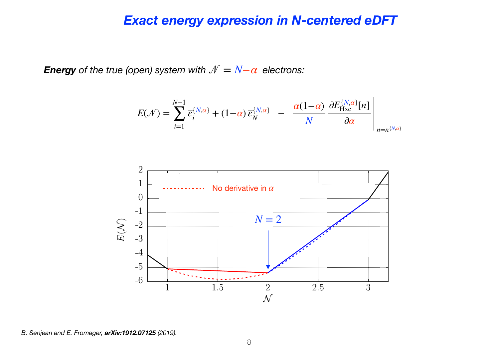#### *Exact energy expression in N-centered eDFT*

*Energy* of the true (open) system with  $\mathcal{N} = N - \alpha$  electrons:

$$
E(\mathcal{N}) = \sum_{i=1}^{N-1} \overline{\varepsilon}_i^{\{N,\alpha\}} + (1-\alpha) \overline{\varepsilon}_N^{\{N,\alpha\}} - \frac{\alpha(1-\alpha)}{N} \frac{\partial E_{\text{Hxc}}^{\{N,\alpha\}}[n]}{\partial \alpha} \Bigg|_{n=n^{\{N,\alpha\}}}
$$

 $\mathbf{r}$ 



*B. Senjean and E. Fromager, arXiv:1912.07125 (2019).*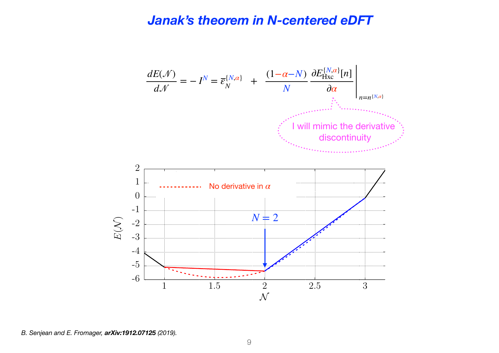#### *Janak's theorem in N-centered eDFT*



*B. Senjean and E. Fromager, arXiv:1912.07125 (2019).*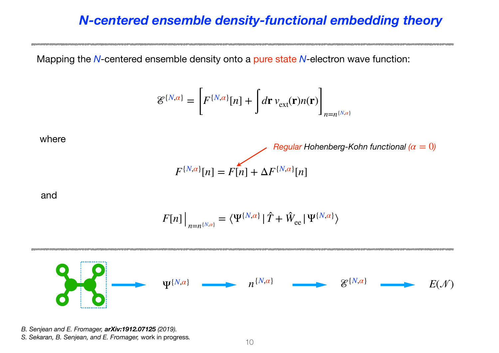## *N-centered ensemble density-functional embedding theory*

Mapping the *N*-centered ensemble density onto a pure state *N*-electron wave function:

$$
\mathcal{E}^{\{N,\alpha\}} = \left[ F^{\{N,\alpha\}}[n] + \int d\mathbf{r} \, v_{\text{ext}}(\mathbf{r}) n(\mathbf{r}) \right]_{n=n^{\{N,\alpha\}}}
$$

*Regular Hohenberg-Kohn functional (* $\alpha = 0$ *)* 

where

and

$$
F[n] \Big|_{n=n^{\{N,\alpha\}}} = \langle \Psi^{\{N,\alpha\}} | \hat{T} + \hat{W}_{ee} | \Psi^{\{N,\alpha\}} \rangle
$$

 $F^{\{N,a\}}[n] = F[n] + \Delta F^{\{N,a\}}[n]$ 



*B. Senjean and E. Fromager, arXiv:1912.07125 (2019). S. Sekaran, B. Senjean, and E. Fromager, work in progress.* 10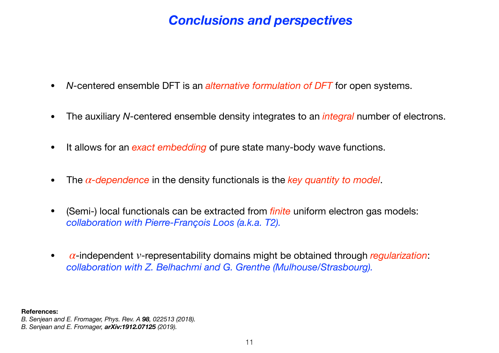## *Conclusions and perspectives*

- *<sup>N</sup>*-centered ensemble DFT is an *alternative formulation of DFT* for open systems.
- The auxiliary *N*-centered ensemble density integrates to an *integral* number of electrons.
- It allows for an *exact embedding* of pure state many-body wave functions.
- The  $\alpha$ -dependence in the density functionals is the *key quantity to model*.
- (Semi-) local functionals can be extracted from *finite* uniform electron gas models: *collaboration with Pierre-François Loos (a.k.a. T2).*
- $\alpha$ -independent *v*-representability domains might be obtained through *regularization*: *collaboration with Z. Belhachmi and G. Grenthe (Mulhouse/Strasbourg).*

**References:** 

*B. Senjean and E. Fromager, Phys. Rev. A 98, 022513 (2018).* 

*B. Senjean and E. Fromager, arXiv:1912.07125 (2019).*